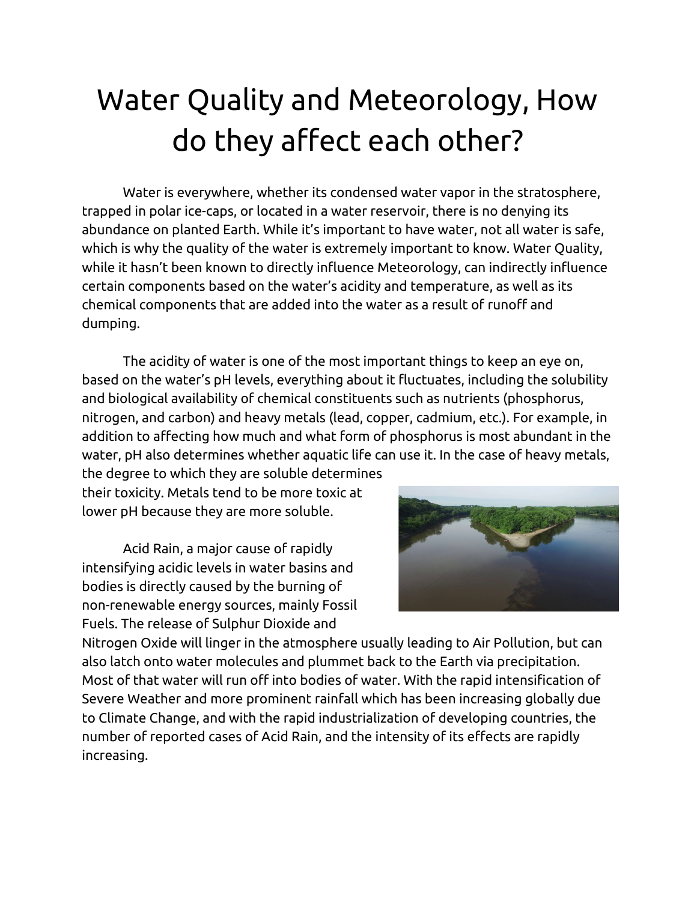## Water Quality and Meteorology, How do they affect each other?

Water is everywhere, whether its condensed water vapor in the stratosphere, trapped in polar ice-caps, or located in a water reservoir, there is no denying its abundance on planted Earth. While it's important to have water, not all water is safe, which is why the quality of the water is extremely important to know. Water Quality, while it hasn't been known to directly influence Meteorology, can indirectly influence certain components based on the water's acidity and temperature, as well as its chemical components that are added into the water as a result of runoff and dumping.

The acidity of water is one of the most important things to keep an eye on, based on the water's pH levels, everything about it fluctuates, including the solubility and biological availability of chemical constituents such as nutrients (phosphorus, nitrogen, and carbon) and heavy metals (lead, copper, cadmium, etc.). For example, in addition to affecting how much and what form of phosphorus is most abundant in the water, pH also determines whether aquatic life can use it. In the case of heavy metals,

the degree to which they are soluble determines their toxicity. Metals tend to be more toxic at lower pH because they are more soluble.

Acid Rain, a major cause of rapidly intensifying acidic levels in water basins and bodies is directly caused by the burning of non-renewable energy sources, mainly Fossil Fuels. The release of Sulphur Dioxide and



Nitrogen Oxide will linger in the atmosphere usually leading to Air Pollution, but can also latch onto water molecules and plummet back to the Earth via precipitation. Most of that water will run off into bodies of water. With the rapid intensification of Severe Weather and more prominent rainfall which has been increasing globally due to Climate Change, and with the rapid industrialization of developing countries, the number of reported cases of Acid Rain, and the intensity of its effects are rapidly increasing.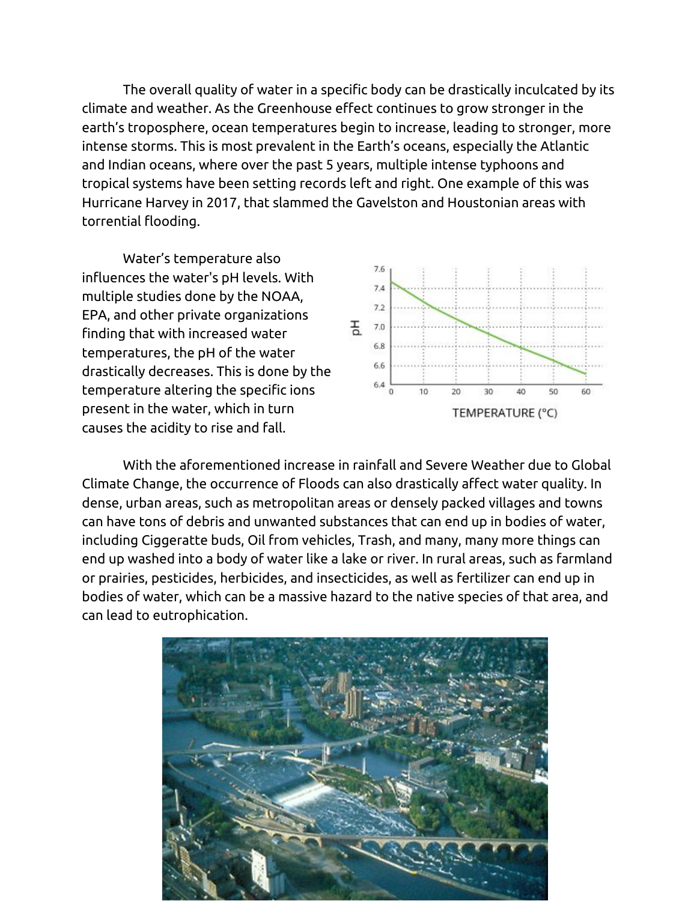The overall quality of water in a specific body can be drastically inculcated by its climate and weather. As the Greenhouse effect continues to grow stronger in the earth's troposphere, ocean temperatures begin to increase, leading to stronger, more intense storms. This is most prevalent in the Earth's oceans, especially the Atlantic and Indian oceans, where over the past 5 years, multiple intense typhoons and tropical systems have been setting records left and right. One example of this was Hurricane Harvey in 2017, that slammed the Gavelston and Houstonian areas with torrential flooding.

Water's temperature also influences the water's pH levels. With multiple studies done by the NOAA, EPA, and other private organizations finding that with increased water temperatures, the pH of the water drastically decreases. This is done by the temperature altering the specific ions present in the water, which in turn causes the acidity to rise and fall.



With the aforementioned increase in rainfall and Severe Weather due to Global Climate Change, the occurrence of Floods can also drastically affect water quality. In dense, urban areas, such as metropolitan areas or densely packed villages and towns can have tons of debris and unwanted substances that can end up in bodies of water, including Ciggeratte buds, Oil from vehicles, Trash, and many, many more things can end up washed into a body of water like a lake or river. In rural areas, such as farmland or prairies, pesticides, herbicides, and insecticides, as well as fertilizer can end up in bodies of water, which can be a massive hazard to the native species of that area, and can lead to eutrophication.

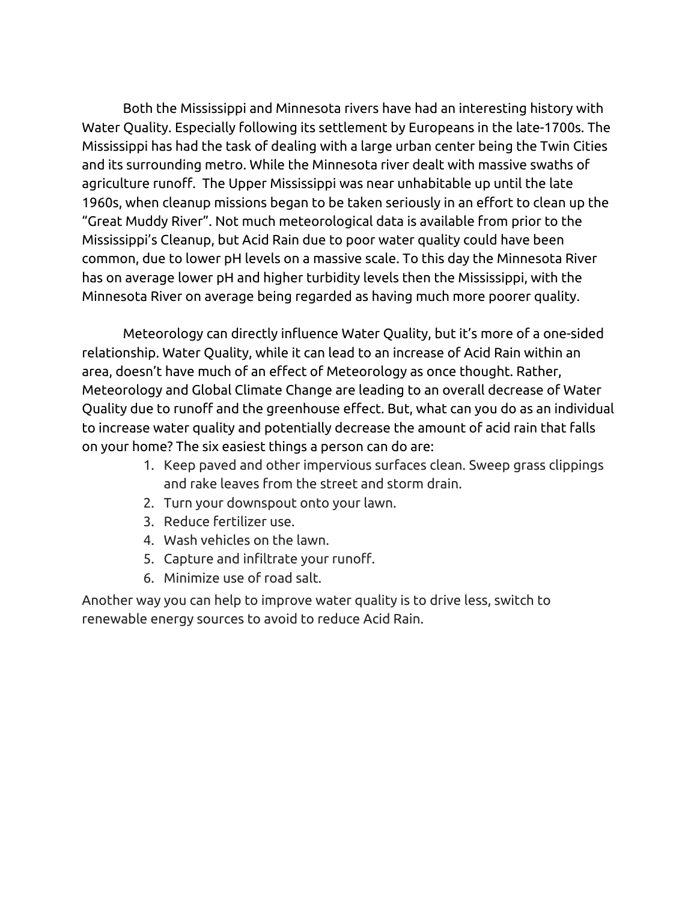Both the Mississippi and Minnesota rivers have had an interesting history with Water Quality. Especially following its settlement by Europeans in the late-1700s. The Mississippi has had the task of dealing with a large urban center being the Twin Cities and its surrounding metro. While the Minnesota river dealt with massive swaths of agriculture runoff. The Upper Mississippi was near unhabitable up until the late 1960s, when cleanup missions began to be taken seriously in an effort to clean up the "Great Muddy River". Not much meteorological data is available from prior to the Mississippi's Cleanup, but Acid Rain due to poor water quality could have been common, due to lower pH levels on a massive scale. To this day the Minnesota River has on average lower pH and higher turbidity levels then the Mississippi, with the Minnesota River on average being regarded as having much more poorer quality.

Meteorology can directly influence Water Quality, but it's more of a one-sided relationship. Water Quality, while it can lead to an increase of Acid Rain within an area, doesn't have much of an effect of Meteorology as once thought. Rather, Meteorology and Global Climate Change are leading to an overall decrease of Water Quality due to runoff and the greenhouse effect. But, what can you do as an individual to increase water quality and potentially decrease the amount of acid rain that falls on your home? The six easiest things a person can do are:

- 1. Keep paved and other impervious surfaces clean. Sweep grass clippings and rake leaves from the street and storm drain.
- 2. Turn your downspout onto your lawn.
- 3. Reduce fertilizer use.
- 4. Wash vehicles on the lawn.
- 5. Capture and infiltrate your runoff.
- 6. Minimize use of road salt.

Another way you can help to improve water quality is to drive less, switch to renewable energy sources to avoid to reduce Acid Rain.